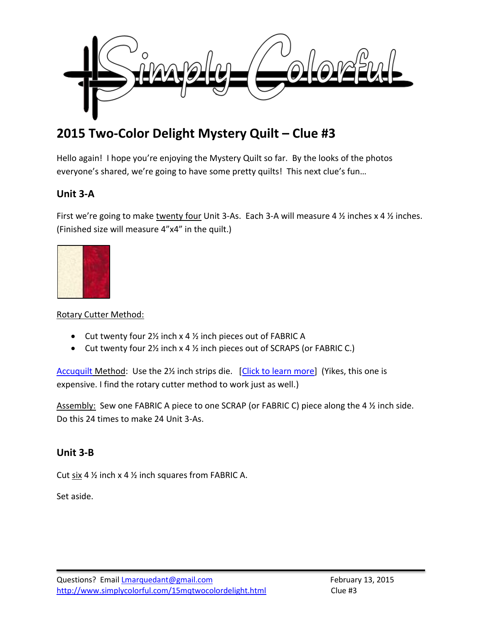

# **2015 Two-Color Delight Mystery Quilt – Clue #3**

Hello again! I hope you're enjoying the Mystery Quilt so far. By the looks of the photos everyone's shared, we're going to have some pretty quilts! This next clue's fun…

## **Unit 3-A**

First we're going to make twenty four Unit 3-As. Each 3-A will measure 4  $\frac{1}{2}$  inches x 4  $\frac{1}{2}$  inches. (Finished size will measure 4"x4" in the quilt.)



#### Rotary Cutter Method:

- $\bullet$  Cut twenty four 2½ inch x 4 ½ inch pieces out of FABRIC A
- Cut twenty four 2<sup>1</sup>/<sub>2</sub> inch x 4 <sup>1</sup>/<sub>2</sub> inch pieces out of SCRAPS (or FABRIC C.)

[Accuquilt](http://www.amazon.com/gp/product/B0021F62D6/ref=as_li_tl?ie=UTF8&camp=1789&creative=390957&creativeASIN=B0021F62D6&linkCode=as2&tag=simcolfibart-20&linkId=5AORDCJJM3EOL23X) Method: Use the 2<sup>1</sup>/<sub>2</sub> inch strips die. [\[Click to learn more\]](http://www.amazon.com/gp/product/B0021FEDW8/ref=as_li_tl?ie=UTF8&camp=1789&creative=390957&creativeASIN=B0021FEDW8&linkCode=as2&tag=simcolfibart-20&linkId=DUIJXR62V2HEDCKD) (Yikes, this one is expensive. I find the rotary cutter method to work just as well.)

Assembly: Sew one FABRIC A piece to one SCRAP (or FABRIC C) piece along the 4 % inch side. Do this 24 times to make 24 Unit 3-As.

#### **Unit 3-B**

Cut  $\frac{\sin 4 \frac{1}{2}}{\sinh x \cdot 4}$  inch squares from FABRIC A.

Set aside.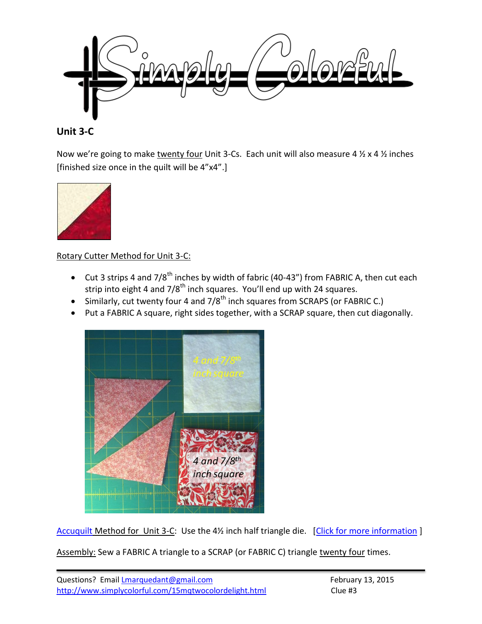

#### **Unit 3-C**

Now we're going to make twenty four Unit 3-Cs. Each unit will also measure 4  $\frac{1}{2}$  x 4  $\frac{1}{2}$  inches [finished size once in the quilt will be 4"x4".]



Rotary Cutter Method for Unit 3-C:

- Cut 3 strips 4 and  $7/8^{th}$  inches by width of fabric (40-43") from FABRIC A, then cut each strip into eight 4 and 7/8<sup>th</sup> inch squares. You'll end up with 24 squares.
- Similarly, cut twenty four 4 and  $7/8^{th}$  inch squares from SCRAPS (or FABRIC C.)
- Put a FABRIC A square, right sides together, with a SCRAP square, then cut diagonally.



[Accuquilt](http://www.amazon.com/gp/product/B0021F62D6/ref=as_li_tl?ie=UTF8&camp=1789&creative=390957&creativeASIN=B0021F62D6&linkCode=as2&tag=simcolfibart-20&linkId=5AORDCJJM3EOL23X) Method for Unit 3-C: Use the 4½ inch half triangle die. [\[Click for more information](http://www.amazon.com/gp/product/B00883PLMI/ref=as_li_tl?ie=UTF8&camp=1789&creative=390957&creativeASIN=B00883PLMI&linkCode=as2&tag=simcolfibart-20&linkId=HSYELGCQXJKKI5CK)]

Assembly: Sew a FABRIC A triangle to a SCRAP (or FABRIC C) triangle twenty four times.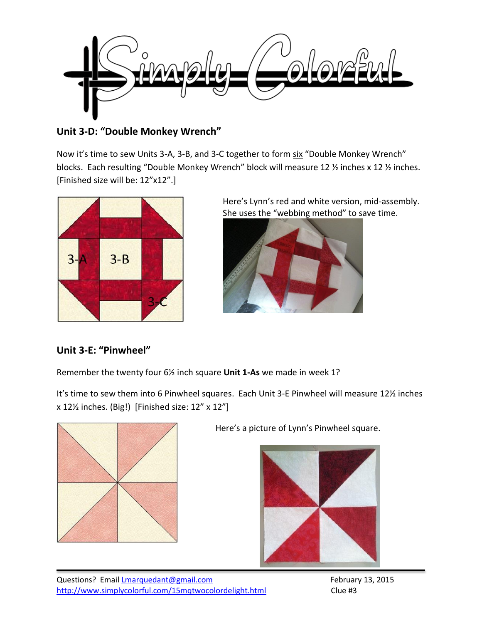

**Unit 3-D: "Double Monkey Wrench"**

Now it's time to sew Units 3-A, 3-B, and 3-C together to form six "Double Monkey Wrench" blocks. Each resulting "Double Monkey Wrench" block will measure 12 ½ inches x 12 ½ inches. [Finished size will be: 12"x12".]



Here's Lynn's red and white version, mid-assembly. She uses the "webbing method" to save time.



# **Unit 3-E: "Pinwheel"**

Remember the twenty four 6½ inch square **Unit 1-As** we made in week 1?

It's time to sew them into 6 Pinwheel squares. Each Unit 3-E Pinwheel will measure 12½ inches x 12½ inches. (Big!) [Finished size: 12" x 12"]



Here's a picture of Lynn's Pinwheel square.